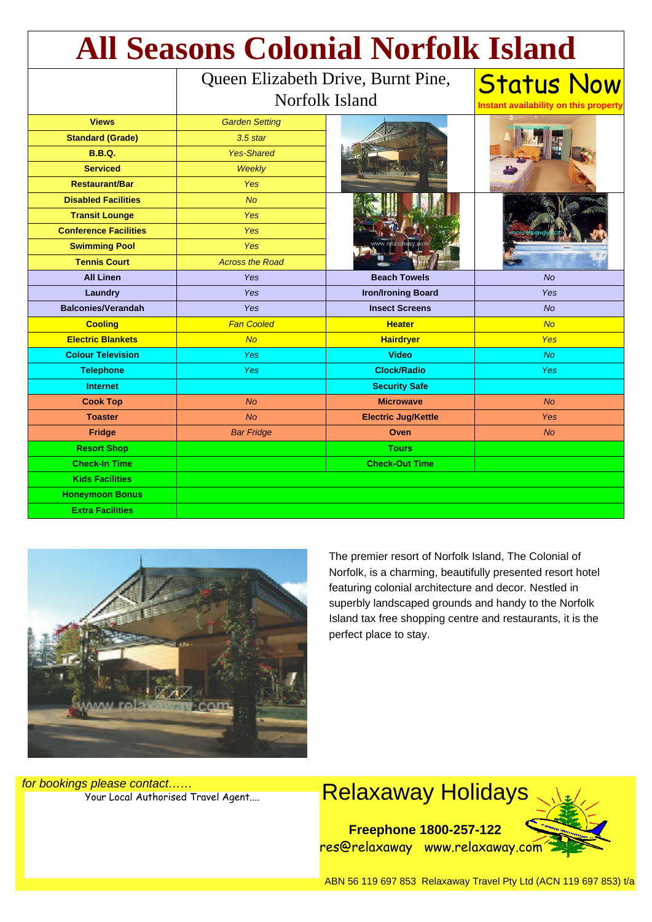| <b>All Seasons Colonial Norfolk Island</b> |                                                      |                            |                                                            |
|--------------------------------------------|------------------------------------------------------|----------------------------|------------------------------------------------------------|
|                                            | Queen Elizabeth Drive, Burnt Pine,<br>Norfolk Island |                            | <b>Status Now</b><br>Instant availability on this property |
| <b>Views</b>                               | <b>Garden Setting</b>                                |                            |                                                            |
| <b>Standard (Grade)</b>                    | $3.5$ star                                           |                            |                                                            |
| <b>B.B.Q.</b>                              | <b>Yes-Shared</b>                                    |                            |                                                            |
| <b>Serviced</b>                            | Weekly                                               |                            |                                                            |
| <b>Restaurant/Bar</b>                      | <b>Yes</b>                                           |                            |                                                            |
| <b>Disabled Facilities</b>                 | <b>No</b>                                            |                            |                                                            |
| <b>Transit Lounge</b>                      | <b>Yes</b>                                           |                            |                                                            |
| <b>Conference Facilities</b>               | <b>Yes</b>                                           |                            |                                                            |
| <b>Swimming Pool</b>                       | <b>Yes</b>                                           |                            |                                                            |
| <b>Tennis Court</b>                        | <b>Across the Road</b>                               |                            |                                                            |
| <b>All Linen</b>                           | <b>Yes</b>                                           | <b>Beach Towels</b>        | <b>No</b>                                                  |
| Laundry                                    | Yes                                                  | <b>Iron/Ironing Board</b>  | <b>Yes</b>                                                 |
| <b>Balconies/Verandah</b>                  | Yes                                                  | <b>Insect Screens</b>      | No                                                         |
| <b>Cooling</b>                             | <b>Fan Cooled</b>                                    | <b>Heater</b>              | No                                                         |
| <b>Electric Blankets</b>                   | <b>No</b>                                            | <b>Hairdryer</b>           | <b>Yes</b>                                                 |
| <b>Colour Television</b>                   | Yes                                                  | <b>Video</b>               | No.                                                        |
| <b>Telephone</b>                           | <b>Yes</b>                                           | <b>Clock/Radio</b>         | <b>Yes</b>                                                 |
| <b>Internet</b>                            |                                                      | <b>Security Safe</b>       |                                                            |
| <b>Cook Top</b>                            | <b>No</b>                                            | <b>Microwave</b>           | <b>No</b>                                                  |
| <b>Toaster</b>                             | <b>No</b>                                            | <b>Electric Jug/Kettle</b> | <b>Yes</b>                                                 |
| Fridge                                     | <b>Bar Fridge</b>                                    | Oven                       | <b>No</b>                                                  |
| <b>Resort Shop</b>                         |                                                      | <b>Tours</b>               |                                                            |
| <b>Check-In Time</b>                       |                                                      | <b>Check-Out Time</b>      |                                                            |
| <b>Kids Facilities</b>                     |                                                      |                            |                                                            |
| <b>Honeymoon Bonus</b>                     |                                                      |                            |                                                            |
| <b>Extra Facilities</b>                    |                                                      |                            |                                                            |



The premier resort of Norfolk Island, The Colonial of Norfolk, is a charming, beautifully presented resort hotel featuring colonial architecture and decor. Nestled in superbly landscaped grounds and handy to the Norfolk Island tax free shopping centre and restaurants, it is the perfect place to stay.

for bookings please contact……